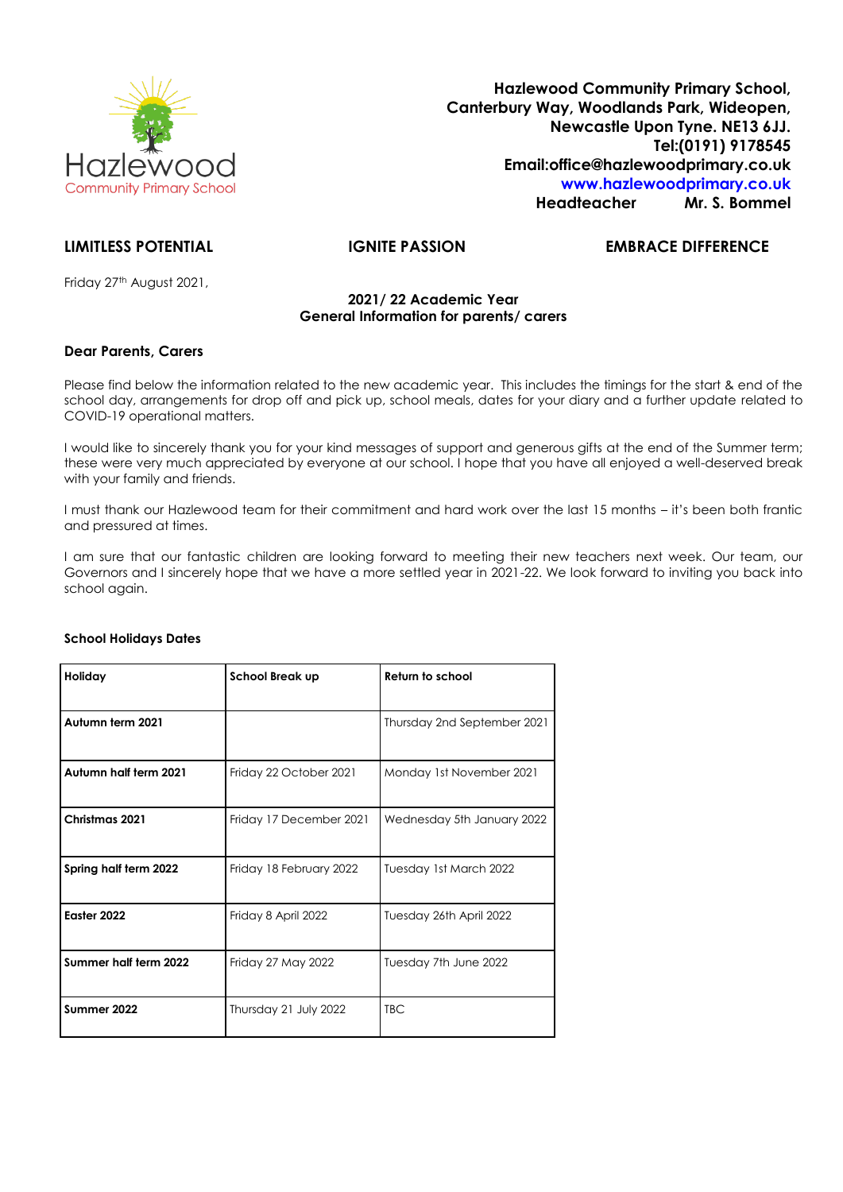

**Hazlewood Community Primary School, Canterbury Way, Woodlands Park, Wideopen, Newcastle Upon Tyne. NE13 6JJ. Tel:(0191) 9178545 Email:office@hazlewoodprimary.co.uk [www.hazlewoodprimary.co.uk](http://www.hazlewoodprimary.co.uk/) Headteacher Mr. S. Bommel**

# **LIMITLESS POTENTIAL IGNITE PASSION EMBRACE DIFFERENCE**

Friday 27<sup>th</sup> August 2021,

# **2021/ 22 Academic Year General Information for parents/ carers**

# **Dear Parents, Carers**

Please find below the information related to the new academic year. This includes the timings for the start & end of the school day, arrangements for drop off and pick up, school meals, dates for your diary and a further update related to COVID-19 operational matters.

I would like to sincerely thank you for your kind messages of support and generous gifts at the end of the Summer term; these were very much appreciated by everyone at our school. I hope that you have all enjoyed a well-deserved break with your family and friends.

I must thank our Hazlewood team for their commitment and hard work over the last 15 months – it's been both frantic and pressured at times.

I am sure that our fantastic children are looking forward to meeting their new teachers next week. Our team, our Governors and I sincerely hope that we have a more settled year in 2021-22. We look forward to inviting you back into school again.

| Holiday               | <b>School Break up</b>  | Return to school            |
|-----------------------|-------------------------|-----------------------------|
| Autumn term 2021      |                         | Thursday 2nd September 2021 |
| Autumn half term 2021 | Friday 22 October 2021  | Monday 1st November 2021    |
| Christmas 2021        | Friday 17 December 2021 | Wednesday 5th January 2022  |
| Spring half term 2022 | Friday 18 February 2022 | Tuesday 1st March 2022      |
| Easter 2022           | Friday 8 April 2022     | Tuesday 26th April 2022     |
| Summer half term 2022 | Friday 27 May 2022      | Tuesday 7th June 2022       |
| Summer 2022           | Thursday 21 July 2022   | <b>TBC</b>                  |

# **School Holidays Dates**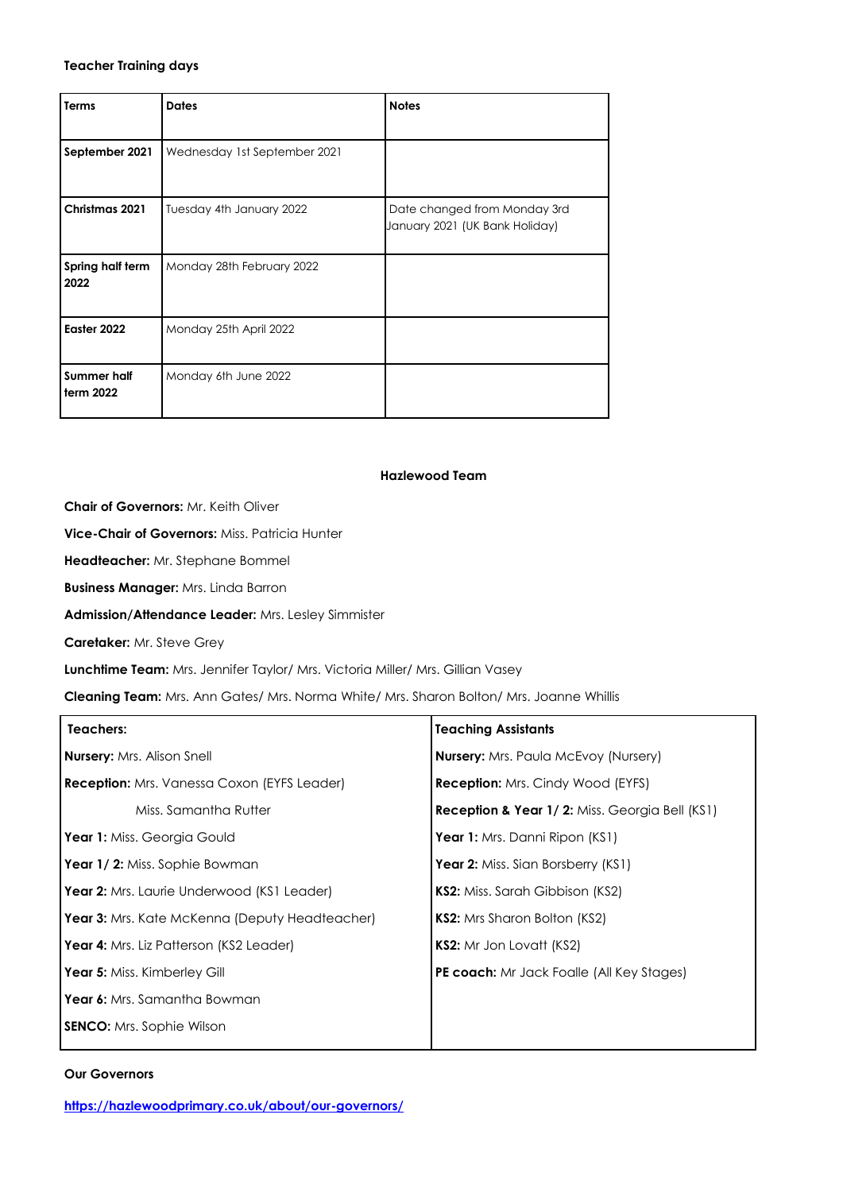## **Teacher Training days**

| Terms                    | <b>Dates</b>                 | <b>Notes</b>                                                   |
|--------------------------|------------------------------|----------------------------------------------------------------|
| September 2021           | Wednesday 1st September 2021 |                                                                |
| Christmas 2021           | Tuesday 4th January 2022     | Date changed from Monday 3rd<br>January 2021 (UK Bank Holiday) |
| Spring half term<br>2022 | Monday 28th February 2022    |                                                                |
| Easter 2022              | Monday 25th April 2022       |                                                                |
| Summer half<br>term 2022 | Monday 6th June 2022         |                                                                |

# **Hazlewood Team**

**Chair of Governors:** Mr. Keith Oliver

**Vice-Chair of Governors:** Miss. Patricia Hunter

**Headteacher:** Mr. Stephane Bommel

**Business Manager:** Mrs. Linda Barron

**Admission/Attendance Leader:** Mrs. Lesley Simmister

**Caretaker:** Mr. Steve Grey

**Lunchtime Team:** Mrs. Jennifer Taylor/ Mrs. Victoria Miller/ Mrs. Gillian Vasey

**Cleaning Team:** Mrs. Ann Gates/ Mrs. Norma White/ Mrs. Sharon Bolton/ Mrs. Joanne Whillis

| Teachers:                                             | <b>Teaching Assistants</b>                                |
|-------------------------------------------------------|-----------------------------------------------------------|
| <b>Nursery:</b> Mrs. Alison Snell                     | <b>Nursery:</b> Mrs. Paula McEvoy (Nursery)               |
| <b>Reception:</b> Mrs. Vanessa Coxon (EYFS Leader)    | <b>Reception:</b> Mrs. Cindy Wood (EYFS)                  |
| Miss. Samantha Rutter                                 | <b>Reception &amp; Year 1/2: Miss. Georgia Bell (KS1)</b> |
| <b>Year 1:</b> Miss. Georgia Gould                    | Year 1: Mrs. Danni Ripon (KS1)                            |
| <b>Year 1/2:</b> Miss. Sophie Bowman                  | <b>Year 2:</b> Miss. Sian Borsberry (KS1)                 |
| Year 2: Mrs. Laurie Underwood (KS1 Leader)            | <b>KS2:</b> Miss. Sarah Gibbison (KS2)                    |
| <b>Year 3:</b> Mrs. Kate McKenna (Deputy Headteacher) | <b>KS2:</b> Mrs Sharon Bolton (KS2)                       |
| <b>Year 4:</b> Mrs. Liz Patterson (KS2 Leader)        | <b>KS2:</b> Mr Jon Lovatt (KS2)                           |
| <b>Year 5:</b> Miss. Kimberley Gill                   | <b>PE coach:</b> Mr Jack Foalle (All Key Stages)          |
| <b>Year 6:</b> Mrs. Samantha Bowman                   |                                                           |
| <b>SENCO:</b> Mrs. Sophie Wilson                      |                                                           |
|                                                       |                                                           |

## **Our Governors**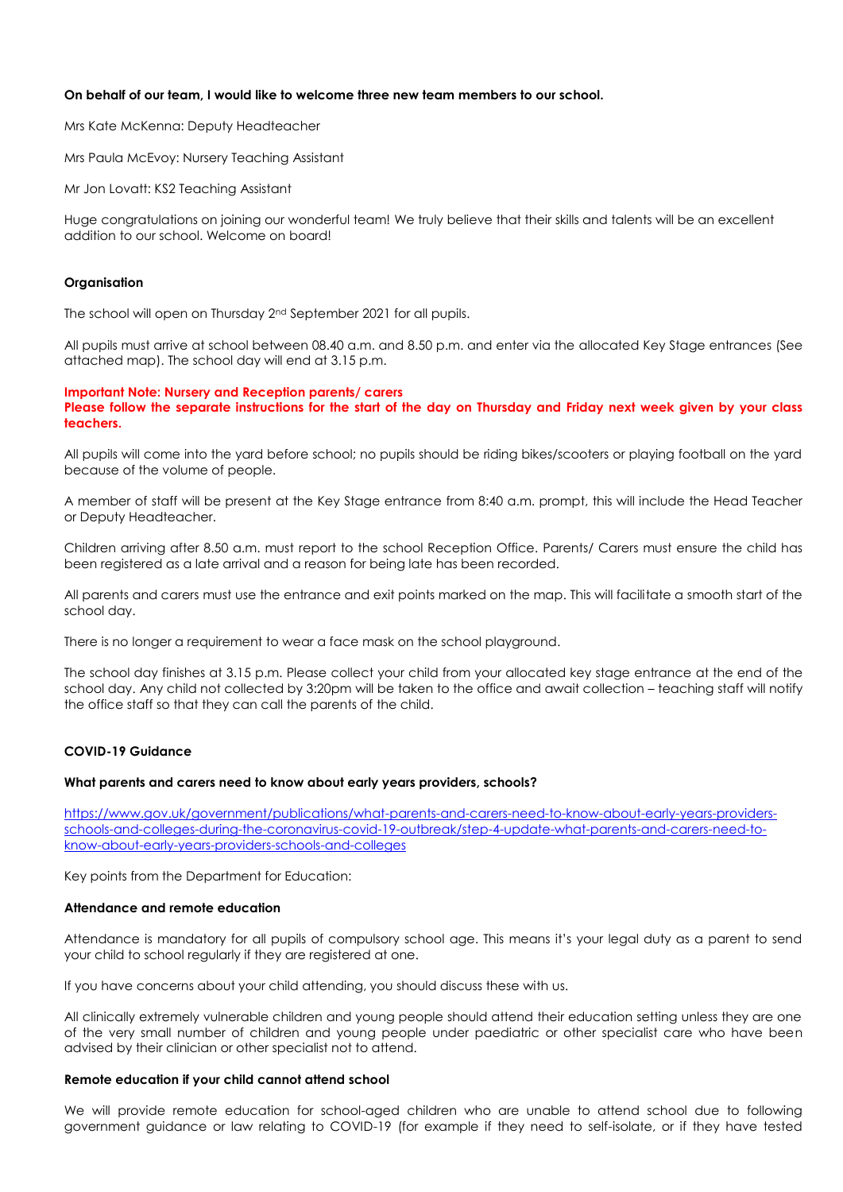## **On behalf of our team, I would like to welcome three new team members to our school.**

Mrs Kate McKenna: Deputy Headteacher

Mrs Paula McEvoy: Nursery Teaching Assistant

Mr Jon Lovatt: KS2 Teaching Assistant

Huge congratulations on joining our wonderful team! We truly believe that their skills and talents will be an excellent addition to our school. Welcome on board!

#### **Organisation**

The school will open on Thursday 2nd September 2021 for all pupils.

All pupils must arrive at school between 08.40 a.m. and 8.50 p.m. and enter via the allocated Key Stage entrances (See attached map). The school day will end at 3.15 p.m.

#### **Important Note: Nursery and Reception parents/ carers Please follow the separate instructions for the start of the day on Thursday and Friday next week given by your class teachers.**

All pupils will come into the yard before school; no pupils should be riding bikes/scooters or playing football on the yard because of the volume of people.

A member of staff will be present at the Key Stage entrance from 8:40 a.m. prompt, this will include the Head Teacher or Deputy Headteacher.

Children arriving after 8.50 a.m. must report to the school Reception Office. Parents/ Carers must ensure the child has been registered as a late arrival and a reason for being late has been recorded.

All parents and carers must use the entrance and exit points marked on the map. This will facilitate a smooth start of the school day.

There is no longer a requirement to wear a face mask on the school playground.

The school day finishes at 3.15 p.m. Please collect your child from your allocated key stage entrance at the end of the school day. Any child not collected by 3:20pm will be taken to the office and await collection – teaching staff will notify the office staff so that they can call the parents of the child.

## **COVID-19 Guidance**

#### **What parents and carers need to know about early years providers, schools?**

[https://www.gov.uk/government/publications/what-parents-and-carers-need-to-know-about-early-years-providers](https://www.gov.uk/government/publications/what-parents-and-carers-need-to-know-about-early-years-providers-schools-and-colleges-during-the-coronavirus-covid-19-outbreak/step-4-update-what-parents-and-carers-need-to-know-about-early-years-providers-schools-and-colleges)[schools-and-colleges-during-the-coronavirus-covid-19-outbreak/step-4-update-what-parents-and-carers-need-to](https://www.gov.uk/government/publications/what-parents-and-carers-need-to-know-about-early-years-providers-schools-and-colleges-during-the-coronavirus-covid-19-outbreak/step-4-update-what-parents-and-carers-need-to-know-about-early-years-providers-schools-and-colleges)[know-about-early-years-providers-schools-and-colleges](https://www.gov.uk/government/publications/what-parents-and-carers-need-to-know-about-early-years-providers-schools-and-colleges-during-the-coronavirus-covid-19-outbreak/step-4-update-what-parents-and-carers-need-to-know-about-early-years-providers-schools-and-colleges)

Key points from the Department for Education:

### **Attendance and remote education**

Attendance is mandatory for all pupils of compulsory school age. This means it's your legal duty as a parent to send your child to school regularly if they are registered at one.

If you have concerns about your child attending, you should discuss these with us.

All clinically extremely vulnerable children and young people should attend their education setting unless they are one of the very small number of children and young people under paediatric or other specialist care who have been advised by their clinician or other specialist not to attend.

#### **Remote education if your child cannot attend school**

We will provide remote education for school-aged children who are unable to attend school due to following government guidance or law relating to COVID-19 (for example if they need to self-isolate, or if they have tested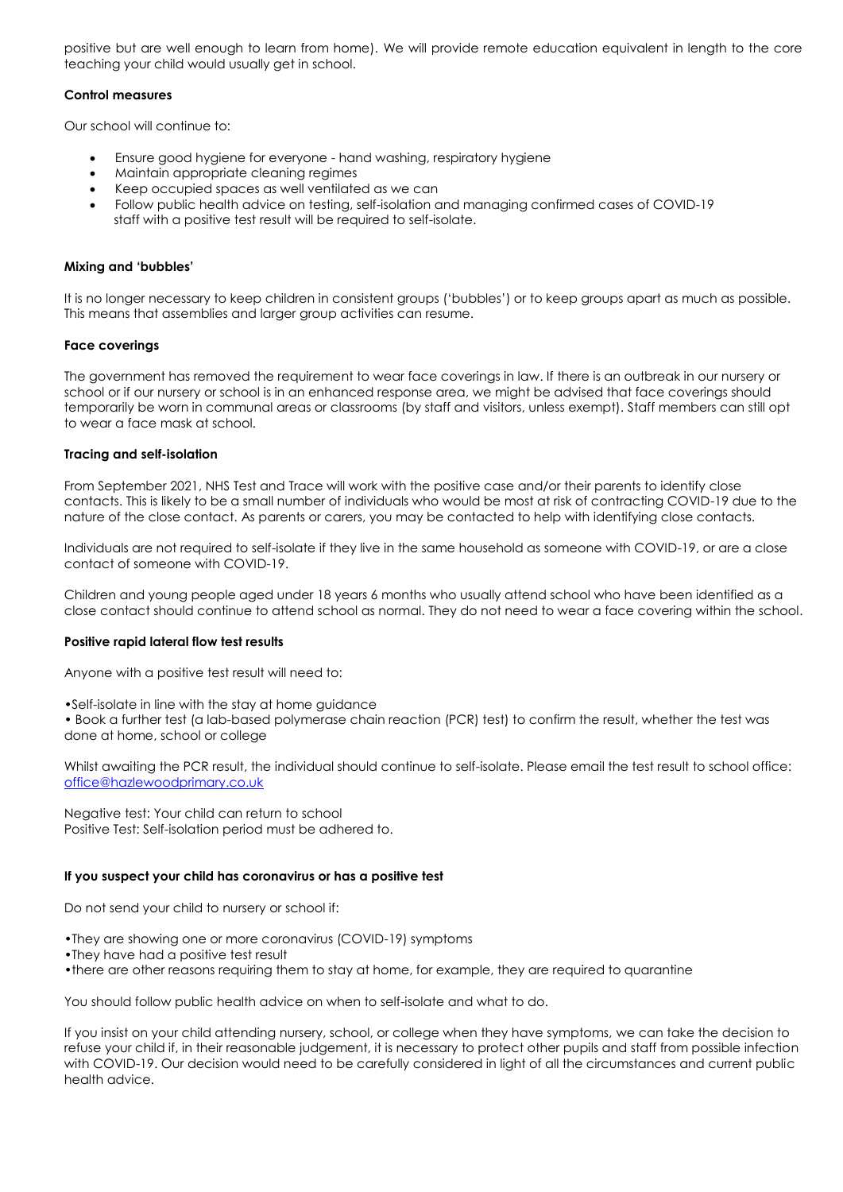positive but are well enough to learn from home). We will provide remote education equivalent in length to the core teaching your child would usually get in school.

# **Control measures**

Our school will continue to:

- Ensure good hygiene for everyone hand washing, respiratory hygiene
- Maintain appropriate cleaning regimes
- Keep occupied spaces as well ventilated as we can
- Follow public health advice on testing, self-isolation and managing confirmed cases of COVID-19 staff with a positive test result will be required to self-isolate.

# **Mixing and 'bubbles'**

It is no longer necessary to keep children in consistent groups ('bubbles') or to keep groups apart as much as possible. This means that assemblies and larger group activities can resume.

# **Face coverings**

The government has removed the requirement to wear face coverings in law. If there is an outbreak in our nursery or school or if our nursery or school is in an enhanced response area, we might be advised that face coverings should temporarily be worn in communal areas or classrooms (by staff and visitors, unless exempt). Staff members can still opt to wear a face mask at school.

# **Tracing and self-isolation**

From September 2021, NHS Test and Trace will work with the positive case and/or their parents to identify close contacts. This is likely to be a small number of individuals who would be most at risk of contracting COVID-19 due to the nature of the close contact. As parents or carers, you may be contacted to help with identifying close contacts.

Individuals are not required to self-isolate if they live in the same household as someone with COVID-19, or are a close contact of someone with COVID-19.

Children and young people aged under 18 years 6 months who usually attend school who have been identified as a close contact should continue to attend school as normal. They do not need to wear a face covering within the school.

# **Positive rapid lateral flow test results**

Anyone with a positive test result will need to:

•Self-isolate in line with the stay at home guidance

• Book a further test (a lab-based polymerase chain reaction (PCR) test) to confirm the result, whether the test was done at home, school or college

Whilst awaiting the PCR result, the individual should continue to self-isolate. Please email the test result to school office: [office@hazlewoodprimary.co.uk](mailto:office@hazlewoodprimary.co.uk)

Negative test: Your child can return to school Positive Test: Self-isolation period must be adhered to.

# **If you suspect your child has coronavirus or has a positive test**

Do not send your child to nursery or school if:

- •They are showing one or more coronavirus (COVID-19) symptoms
- •They have had a positive test result
- •there are other reasons requiring them to stay at home, for example, they are required to quarantine

You should follow public health advice on when to self-isolate and what to do.

If you insist on your child attending nursery, school, or college when they have symptoms, we can take the decision to refuse your child if, in their reasonable judgement, it is necessary to protect other pupils and staff from possible infection with COVID-19. Our decision would need to be carefully considered in light of all the circumstances and current public health advice.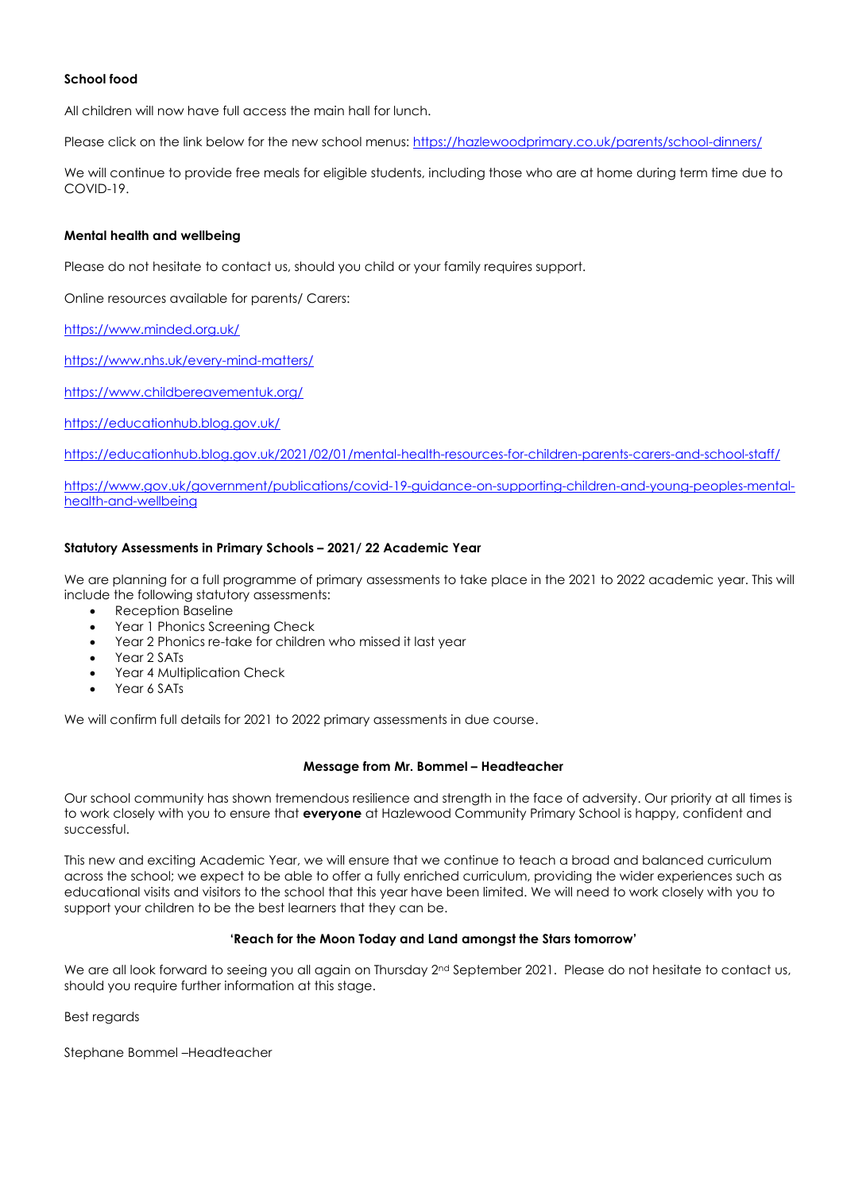# **School food**

All children will now have full access the main hall for lunch.

Please click on the link below for the new school menus: <https://hazlewoodprimary.co.uk/parents/school-dinners/>

We will continue to provide free meals for eligible students, including those who are at home during term time due to COVID-19.

### **Mental health and wellbeing**

Please do not hesitate to contact us, should you child or your family requires support.

Online resources available for parents/ Carers:

<https://www.minded.org.uk/>

<https://www.nhs.uk/every-mind-matters/>

<https://www.childbereavementuk.org/>

<https://educationhub.blog.gov.uk/>

<https://educationhub.blog.gov.uk/2021/02/01/mental-health-resources-for-children-parents-carers-and-school-staff/>

[https://www.gov.uk/government/publications/covid-19-guidance-on-supporting-children-and-young-peoples-mental](https://www.gov.uk/government/publications/covid-19-guidance-on-supporting-children-and-young-peoples-mental-health-and-wellbeing)[health-and-wellbeing](https://www.gov.uk/government/publications/covid-19-guidance-on-supporting-children-and-young-peoples-mental-health-and-wellbeing)

## **Statutory Assessments in Primary Schools – 2021/ 22 Academic Year**

We are planning for a full programme of primary assessments to take place in the 2021 to 2022 academic year. This will include the following statutory assessments:

- Reception Baseline
- Year 1 Phonics Screening Check
- Year 2 Phonics re-take for children who missed it last year
- Year 2 SATs
- Year 4 Multiplication Check
- Year 6 SATs

We will confirm full details for 2021 to 2022 primary assessments in due course.

#### **Message from Mr. Bommel – Headteacher**

Our school community has shown tremendous resilience and strength in the face of adversity. Our priority at all times is to work closely with you to ensure that **everyone** at Hazlewood Community Primary School is happy, confident and successful.

This new and exciting Academic Year, we will ensure that we continue to teach a broad and balanced curriculum across the school; we expect to be able to offer a fully enriched curriculum, providing the wider experiences such as educational visits and visitors to the school that this year have been limited. We will need to work closely with you to support your children to be the best learners that they can be.

# **'Reach for the Moon Today and Land amongst the Stars tomorrow'**

We are all look forward to seeing you all again on Thursday 2<sup>nd</sup> September 2021. Please do not hesitate to contact us, should you require further information at this stage.

Best regards

Stephane Bommel –Headteacher